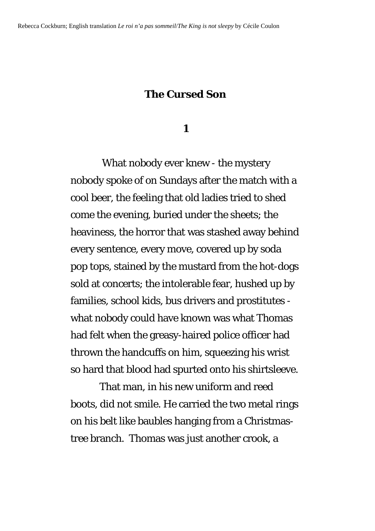## **The Cursed Son**

## **1**

 What nobody ever knew - the mystery nobody spoke of on Sundays after the match with a cool beer, the feeling that old ladies tried to shed come the evening, buried under the sheets; the heaviness, the horror that was stashed away behind every sentence, every move, covered up by soda pop tops, stained by the mustard from the hot-dogs sold at concerts; the intolerable fear, hushed up by families, school kids, bus drivers and prostitutes what nobody could have known was what Thomas had felt when the greasy-haired police officer had thrown the handcuffs on him, squeezing his wrist so hard that blood had spurted onto his shirtsleeve.

 That man, in his new uniform and reed boots, did not smile. He carried the two metal rings on his belt like baubles hanging from a Christmastree branch. Thomas was just another crook, a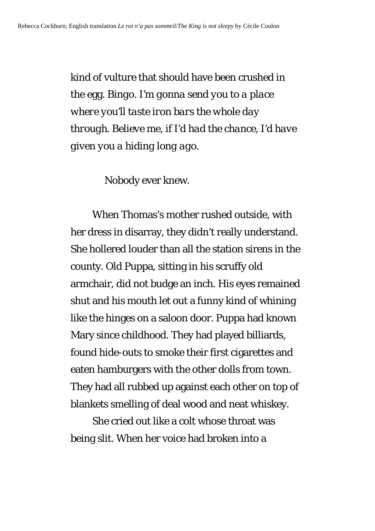kind of vulture that should have been crushed in the egg. *Bingo. I'm gonna send you to a place where you'll taste iron bars the whole day through. Believe me, if I'd had the chance, I'd have given you a hiding long ago*.

Nobody ever knew.

 When Thomas's mother rushed outside, with her dress in disarray, they didn't really understand. She hollered louder than all the station sirens in the county. Old Puppa, sitting in his scruffy old armchair, did not budge an inch. His eyes remained shut and his mouth let out a funny kind of whining like the hinges on a saloon door. Puppa had known Mary since childhood. They had played billiards, found hide-outs to smoke their first cigarettes and eaten hamburgers with the other dolls from town. They had all rubbed up against each other on top of blankets smelling of deal wood and neat whiskey.

 She cried out like a colt whose throat was being slit. When her voice had broken into a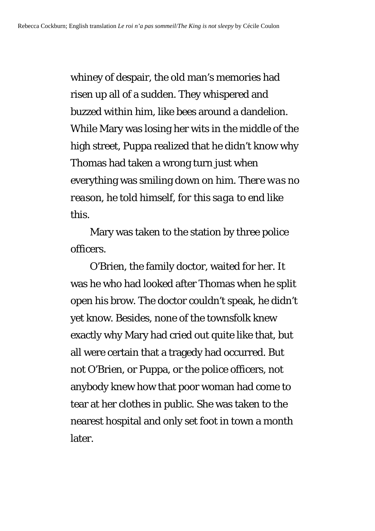whiney of despair, the old man's memories had risen up all of a sudden. They whispered and buzzed within him, like bees around a dandelion. While Mary was losing her wits in the middle of the high street, Puppa realized that he didn't know why Thomas had taken a wrong turn just when everything was smiling down on him. *There was no reason*, he told himself, *for this saga to end like this.* 

 Mary was taken to the station by three police officers.

 O'Brien, the family doctor, waited for her. It was he who had looked after Thomas when he split open his brow. The doctor couldn't speak, he didn't yet know. Besides, none of the townsfolk knew exactly why Mary had cried out quite like that, but all were certain that a tragedy had occurred. But not O'Brien, or Puppa, or the police officers, not anybody knew how that poor woman had come to tear at her clothes in public. She was taken to the nearest hospital and only set foot in town a month later.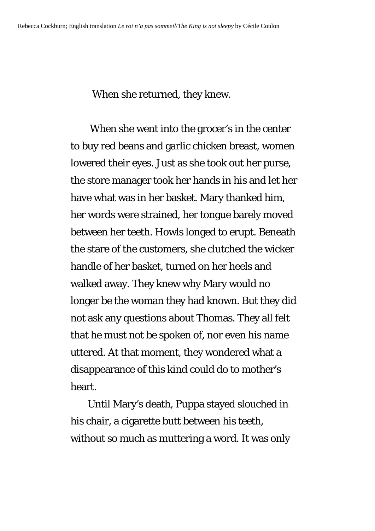When she returned, they knew.

 When she went into the grocer's in the center to buy red beans and garlic chicken breast, women lowered their eyes. Just as she took out her purse, the store manager took her hands in his and let her have what was in her basket. Mary thanked him, her words were strained, her tongue barely moved between her teeth. Howls longed to erupt. Beneath the stare of the customers, she clutched the wicker handle of her basket, turned on her heels and walked away. They knew why Mary would no longer be the woman they had known. But they did not ask any questions about Thomas. They all felt that he must not be spoken of, nor even his name uttered. At that moment, they wondered what a disappearance of this kind could do to mother's heart.

 Until Mary's death, Puppa stayed slouched in his chair, a cigarette butt between his teeth, without so much as muttering a word. It was only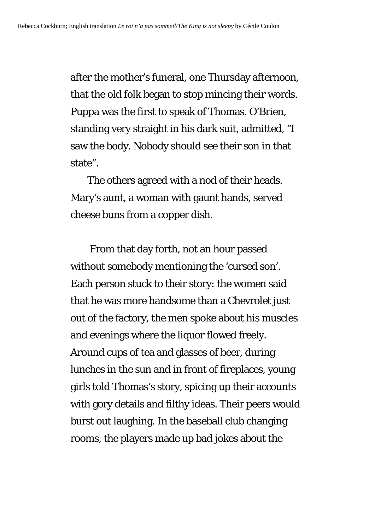after the mother's funeral, one Thursday afternoon, that the old folk began to stop mincing their words. Puppa was the first to speak of Thomas. O'Brien, standing very straight in his dark suit, admitted, "I saw the body. Nobody should see their son in that state".

 The others agreed with a nod of their heads. Mary's aunt, a woman with gaunt hands, served cheese buns from a copper dish.

 From that day forth, not an hour passed without somebody mentioning the 'cursed son'. Each person stuck to their story: the women said that he was more handsome than a Chevrolet just out of the factory, the men spoke about his muscles and evenings where the liquor flowed freely. Around cups of tea and glasses of beer, during lunches in the sun and in front of fireplaces, young girls told Thomas's story, spicing up their accounts with gory details and filthy ideas. Their peers would burst out laughing. In the baseball club changing rooms, the players made up bad jokes about the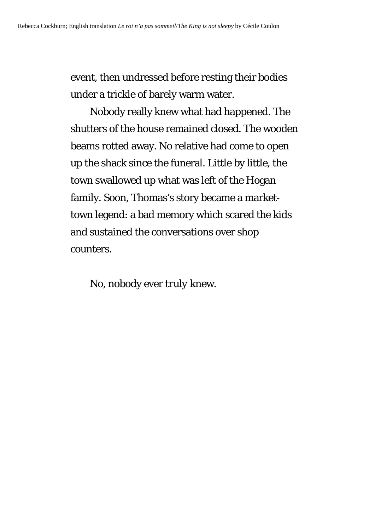event, then undressed before resting their bodies under a trickle of barely warm water.

 Nobody really knew what had happened. The shutters of the house remained closed. The wooden beams rotted away. No relative had come to open up the shack since the funeral. Little by little, the town swallowed up what was left of the Hogan family. Soon, Thomas's story became a markettown legend: a bad memory which scared the kids and sustained the conversations over shop counters.

No, nobody ever *truly* knew.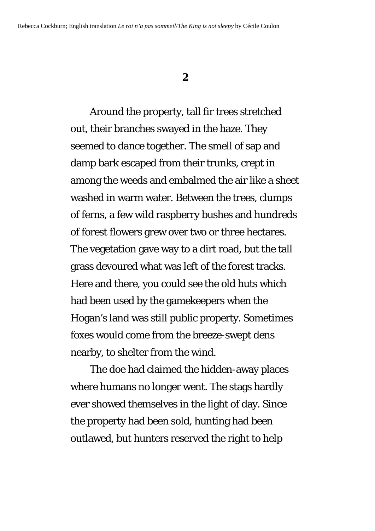## **2**

 Around the property, tall fir trees stretched out, their branches swayed in the haze. They seemed to dance together. The smell of sap and damp bark escaped from their trunks, crept in among the weeds and embalmed the air like a sheet washed in warm water. Between the trees, clumps of ferns, a few wild raspberry bushes and hundreds of forest flowers grew over two or three hectares. The vegetation gave way to a dirt road, but the tall grass devoured what was left of the forest tracks. Here and there, you could see the old huts which had been used by the gamekeepers when the Hogan's land was still public property. Sometimes foxes would come from the breeze-swept dens nearby, to shelter from the wind.

 The doe had claimed the hidden-away places where humans no longer went. The stags hardly ever showed themselves in the light of day. Since the property had been sold, hunting had been outlawed, but hunters reserved the right to help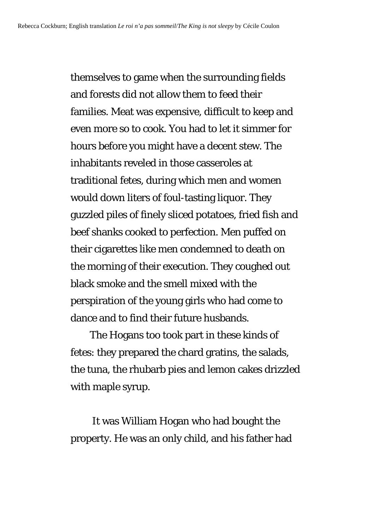themselves to game when the surrounding fields and forests did not allow them to feed their families. Meat was expensive, difficult to keep and even more so to cook. You had to let it simmer for hours before you might have a decent stew. The inhabitants reveled in those casseroles at traditional fetes, during which men and women would down liters of foul-tasting liquor. They guzzled piles of finely sliced potatoes, fried fish and beef shanks cooked to perfection. Men puffed on their cigarettes like men condemned to death on the morning of their execution. They coughed out black smoke and the smell mixed with the perspiration of the young girls who had come to dance and to find their future husbands.

 The Hogans too took part in these kinds of fetes: they prepared the chard gratins, the salads, the tuna, the rhubarb pies and lemon cakes drizzled with maple syrup.

 It was William Hogan who had bought the property. He was an only child, and his father had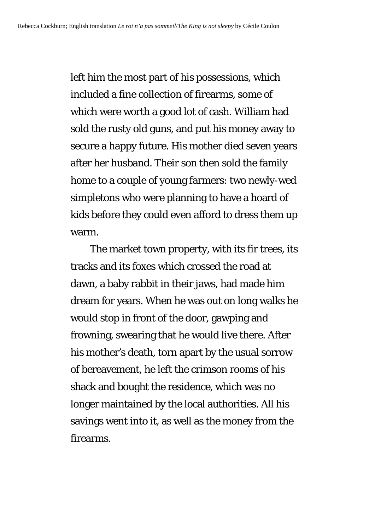left him the most part of his possessions, which included a fine collection of firearms, some of which were worth a good lot of cash. William had sold the rusty old guns, and put his money away to secure a happy future. His mother died seven years after her husband. Their son then sold the family home to a couple of young farmers: two newly-wed simpletons who were planning to have a hoard of kids before they could even afford to dress them up warm.

 The market town property, with its fir trees, its tracks and its foxes which crossed the road at dawn, a baby rabbit in their jaws, had made him dream for years. When he was out on long walks he would stop in front of the door, gawping and frowning, swearing that he would live there. After his mother's death, torn apart by the usual sorrow of bereavement, he left the crimson rooms of his shack and bought the residence, which was no longer maintained by the local authorities. All his savings went into it, as well as the money from the firearms.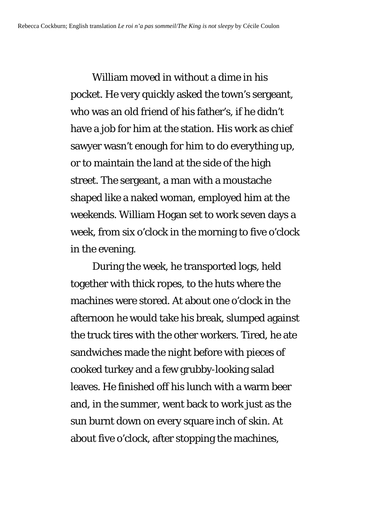William moved in without a dime in his pocket. He very quickly asked the town's sergeant, who was an old friend of his father's, if he didn't have a job for him at the station. His work as chief sawyer wasn't enough for him to do everything up, or to maintain the land at the side of the high street. The sergeant, a man with a moustache shaped like a naked woman, employed him at the weekends. William Hogan set to work seven days a week, from six o'clock in the morning to five o'clock in the evening.

 During the week, he transported logs, held together with thick ropes, to the huts where the machines were stored. At about one o'clock in the afternoon he would take his break, slumped against the truck tires with the other workers. Tired, he ate sandwiches made the night before with pieces of cooked turkey and a few grubby-looking salad leaves. He finished off his lunch with a warm beer and, in the summer, went back to work just as the sun burnt down on every square inch of skin. At about five o'clock, after stopping the machines,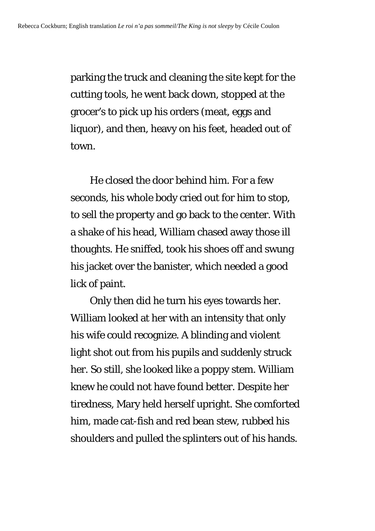parking the truck and cleaning the site kept for the cutting tools, he went back down, stopped at the grocer's to pick up his orders (meat, eggs and liquor), and then, heavy on his feet, headed out of town.

 He closed the door behind him. For a few seconds, his whole body cried out for him to stop, to sell the property and go back to the center. With a shake of his head, William chased away those ill thoughts. He sniffed, took his shoes off and swung his jacket over the banister, which needed a good lick of paint.

 Only then did he turn his eyes towards her. William looked at her with an intensity that only his wife could recognize. A blinding and violent light shot out from his pupils and suddenly struck her. So still, she looked like a poppy stem. William knew he could not have found better. Despite her tiredness, Mary held herself upright. She comforted him, made cat-fish and red bean stew, rubbed his shoulders and pulled the splinters out of his hands.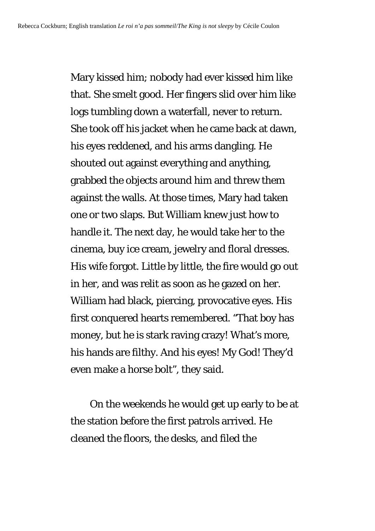Mary kissed him; nobody had ever kissed him like that. She smelt good. Her fingers slid over him like logs tumbling down a waterfall, never to return. She took off his jacket when he came back at dawn, his eyes reddened, and his arms dangling. He shouted out against everything and anything, grabbed the objects around him and threw them against the walls. At those times, Mary had taken one or two slaps. But William knew just how to handle it. The next day, he would take her to the cinema, buy ice cream, jewelry and floral dresses. His wife forgot. Little by little, the fire would go out in her, and was relit as soon as he gazed on her. William had black, piercing, provocative eyes. His first conquered hearts remembered. "That boy has money, but he is stark raving crazy! What's more, his hands are filthy. And his eyes! My God! They'd even make a horse bolt", they said.

 On the weekends he would get up early to be at the station before the first patrols arrived. He cleaned the floors, the desks, and filed the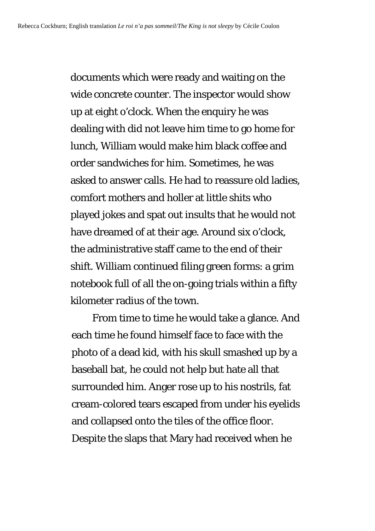documents which were ready and waiting on the wide concrete counter. The inspector would show up at eight o'clock. When the enquiry he was dealing with did not leave him time to go home for lunch, William would make him black coffee and order sandwiches for him. Sometimes, he was asked to answer calls. He had to reassure old ladies, comfort mothers and holler at little shits who played jokes and spat out insults that he would not have dreamed of at their age. Around six o'clock, the administrative staff came to the end of their shift. William continued filing green forms: a grim notebook full of all the on-going trials within a fifty kilometer radius of the town.

 From time to time he would take a glance. And each time he found himself face to face with the photo of a dead kid, with his skull smashed up by a baseball bat, he could not help but hate all that surrounded him. Anger rose up to his nostrils, fat cream-colored tears escaped from under his eyelids and collapsed onto the tiles of the office floor. Despite the slaps that Mary had received when he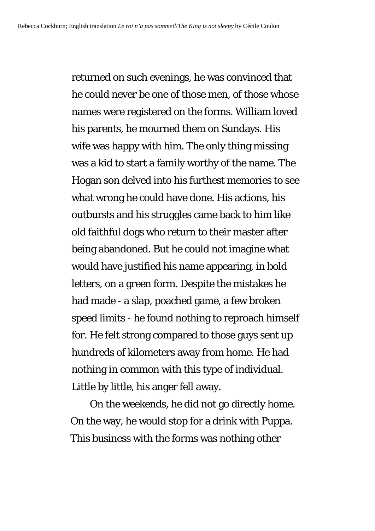returned on such evenings, he was convinced that he could never be one of those men, of those whose names were registered on the forms. William loved his parents, he mourned them on Sundays. His wife was happy with him. The only thing missing was a kid to start a family worthy of the name. The Hogan son delved into his furthest memories to see what wrong he could have done. His actions, his outbursts and his struggles came back to him like old faithful dogs who return to their master after being abandoned. But he could not imagine what would have justified his name appearing, in bold letters, on a green form. Despite the mistakes he had made - a slap, poached game, a few broken speed limits - he found nothing to reproach himself for. He felt strong compared to those guys sent up hundreds of kilometers away from home. He had nothing in common with this type of individual. Little by little, his anger fell away.

 On the weekends, he did not go directly home. On the way, he would stop for a drink with Puppa. This business with the forms was nothing other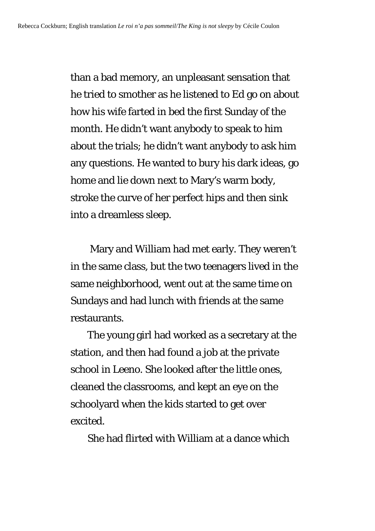than a bad memory, an unpleasant sensation that he tried to smother as he listened to Ed go on about how his wife farted in bed the first Sunday of the month. He didn't want anybody to speak to him about the trials; he didn't want anybody to ask him any questions. He wanted to bury his dark ideas, go home and lie down next to Mary's warm body, stroke the curve of her perfect hips and then sink into a dreamless sleep.

 Mary and William had met early. They weren't in the same class, but the two teenagers lived in the same neighborhood, went out at the same time on Sundays and had lunch with friends at the same restaurants.

 The young girl had worked as a secretary at the station, and then had found a job at the private school in Leeno. She looked after the little ones, cleaned the classrooms, and kept an eye on the schoolyard when the kids started to get over excited.

She had flirted with William at a dance which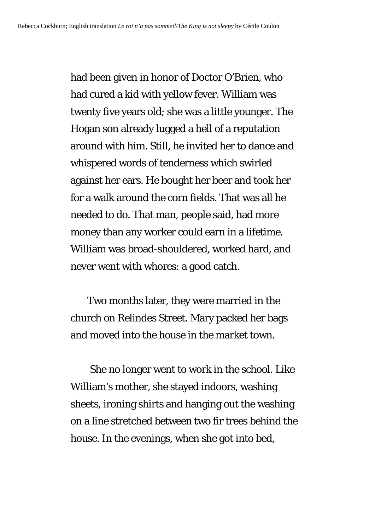had been given in honor of Doctor O'Brien, who had cured a kid with yellow fever. William was twenty five years old; she was a little younger. The Hogan son already lugged a hell of a reputation around with him. Still, he invited her to dance and whispered words of tenderness which swirled against her ears. He bought her beer and took her for a walk around the corn fields. That was all he needed to do. That man, people said, had more money than any worker could earn in a lifetime. William was broad-shouldered, worked hard, and never went with whores: a good catch.

 Two months later, they were married in the church on Relindes Street. Mary packed her bags and moved into the house in the market town.

 She no longer went to work in the school. Like William's mother, she stayed indoors, washing sheets, ironing shirts and hanging out the washing on a line stretched between two fir trees behind the house. In the evenings, when she got into bed,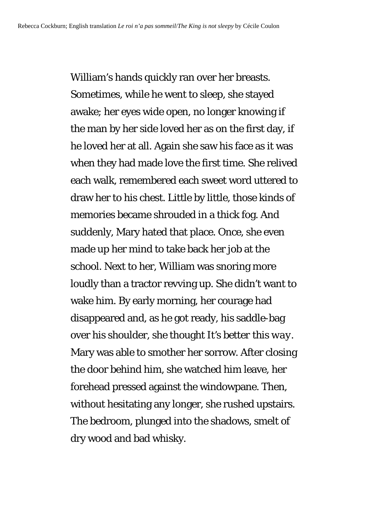William's hands quickly ran over her breasts. Sometimes, while he went to sleep, she stayed awake; her eyes wide open, no longer knowing if the man by her side loved her as on the first day, if he loved her at all. Again she saw his face as it was when they had made love the first time. She relived each walk, remembered each sweet word uttered to draw her to his chest. Little by little, those kinds of memories became shrouded in a thick fog. And suddenly, Mary hated that place. Once, she even made up her mind to take back her job at the school. Next to her, William was snoring more loudly than a tractor revving up. She didn't want to wake him. By early morning, her courage had disappeared and, as he got ready, his saddle-bag over his shoulder, she thought *It's better this way.*  Mary was able to smother her sorrow. After closing the door behind him, she watched him leave, her forehead pressed against the windowpane. Then, without hesitating any longer, she rushed upstairs. The bedroom, plunged into the shadows, smelt of dry wood and bad whisky.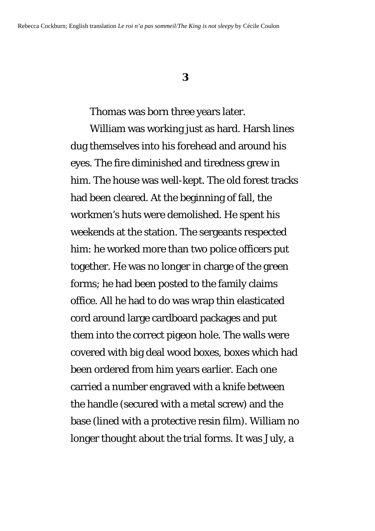## **3**

Thomas was born three years later.

 William was working just as hard. Harsh lines dug themselves into his forehead and around his eyes. The fire diminished and tiredness grew in him. The house was well-kept. The old forest tracks had been cleared. At the beginning of fall, the workmen's huts were demolished. He spent his weekends at the station. The sergeants respected him: he worked more than two police officers put together. He was no longer in charge of the green forms; he had been posted to the family claims office. All he had to do was wrap thin elasticated cord around large cardboard packages and put them into the correct pigeon hole. The walls were covered with big deal wood boxes, boxes which had been ordered from him years earlier. Each one carried a number engraved with a knife between the handle (secured with a metal screw) and the base (lined with a protective resin film). William no longer thought about the trial forms. It was July, a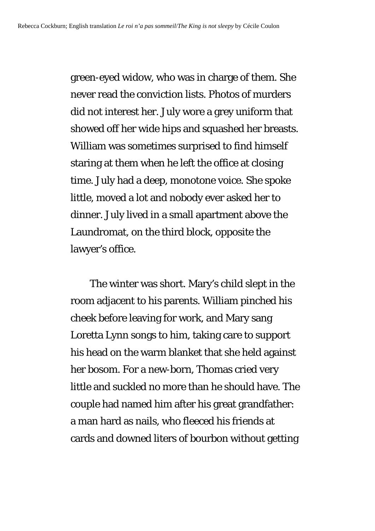green-eyed widow, who was in charge of them. She never read the conviction lists. Photos of murders did not interest her. July wore a grey uniform that showed off her wide hips and squashed her breasts. William was sometimes surprised to find himself staring at them when he left the office at closing time. July had a deep, monotone voice. She spoke little, moved a lot and nobody ever asked her to dinner. July lived in a small apartment above the Laundromat, on the third block, opposite the lawyer's office.

 The winter was short. Mary's child slept in the room adjacent to his parents. William pinched his cheek before leaving for work, and Mary sang Loretta Lynn songs to him, taking care to support his head on the warm blanket that she held against her bosom. For a new-born, Thomas cried very little and suckled no more than he should have. The couple had named him after his great grandfather: a man hard as nails, who fleeced his friends at cards and downed liters of bourbon without getting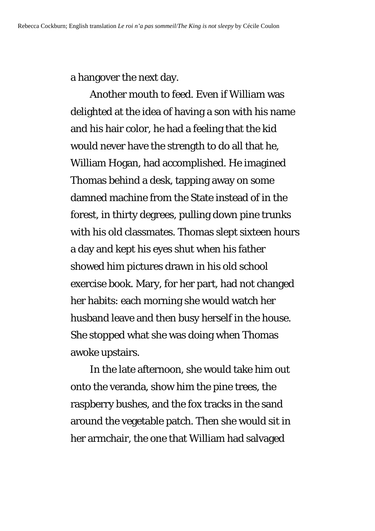a hangover the next day.

 Another mouth to feed. Even if William was delighted at the idea of having a son with his name and his hair color, he had a feeling that the kid would never have the strength to do all that he, William Hogan, had accomplished. He imagined Thomas behind a desk, tapping away on some damned machine from the State instead of in the forest, in thirty degrees, pulling down pine trunks with his old classmates. Thomas slept sixteen hours a day and kept his eyes shut when his father showed him pictures drawn in his old school exercise book. Mary, for her part, had not changed her habits: each morning she would watch her husband leave and then busy herself in the house. She stopped what she was doing when Thomas awoke upstairs.

 In the late afternoon, she would take him out onto the veranda, show him the pine trees, the raspberry bushes, and the fox tracks in the sand around the vegetable patch. Then she would sit in her armchair, the one that William had salvaged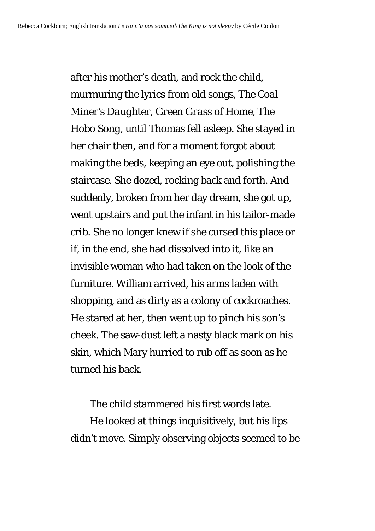after his mother's death, and rock the child, murmuring the lyrics from old songs, *The Coal Miner's Daughter*, *Green Grass of Home*, *The Hobo Song*, until Thomas fell asleep. She stayed in her chair then, and for a moment forgot about making the beds, keeping an eye out, polishing the staircase. She dozed, rocking back and forth. And suddenly, broken from her day dream, she got up, went upstairs and put the infant in his tailor-made crib. She no longer knew if she cursed this place or if, in the end, she had dissolved into it, like an invisible woman who had taken on the look of the furniture. William arrived, his arms laden with shopping, and as dirty as a colony of cockroaches. He stared at her, then went up to pinch his son's cheek. The saw-dust left a nasty black mark on his skin, which Mary hurried to rub off as soon as he turned his back.

The child stammered his first words late.

 He looked at things inquisitively, but his lips didn't move. Simply observing objects seemed to be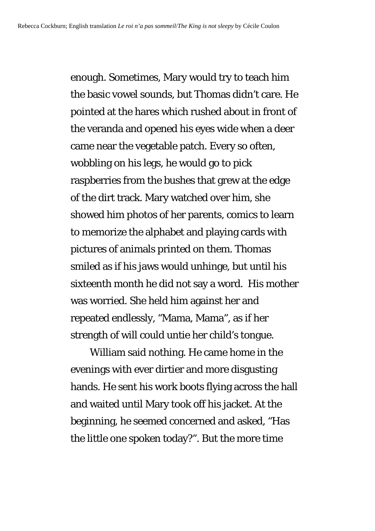enough. Sometimes, Mary would try to teach him the basic vowel sounds, but Thomas didn't care. He pointed at the hares which rushed about in front of the veranda and opened his eyes wide when a deer came near the vegetable patch. Every so often, wobbling on his legs, he would go to pick raspberries from the bushes that grew at the edge of the dirt track. Mary watched over him, she showed him photos of her parents, comics to learn to memorize the alphabet and playing cards with pictures of animals printed on them. Thomas smiled as if his jaws would unhinge, but until his sixteenth month he did not say a word. His mother was worried. She held him against her and repeated endlessly, "Mama, Mama", as if her strength of will could untie her child's tongue.

 William said nothing. He came home in the evenings with ever dirtier and more disgusting hands. He sent his work boots flying across the hall and waited until Mary took off his jacket. At the beginning, he seemed concerned and asked, "Has the little one spoken today?". But the more time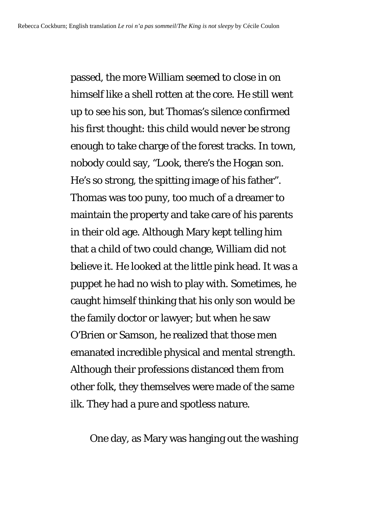passed, the more William seemed to close in on himself like a shell rotten at the core. He still went up to see his son, but Thomas's silence confirmed his first thought: this child would never be strong enough to take charge of the forest tracks. In town, nobody could say, "Look, there's the Hogan son. He's so strong, the spitting image of his father". Thomas was too puny, too much of a dreamer to maintain the property and take care of his parents in their old age. Although Mary kept telling him that a child of two could change, William did not believe it. He looked at the little pink head. It was a puppet he had no wish to play with. Sometimes, he caught himself thinking that his only son would be the family doctor or lawyer; but when he saw O'Brien or Samson, he realized that those men emanated incredible physical and mental strength. Although their professions distanced them from other folk, they themselves were made of the same ilk. They had a pure and spotless nature.

One day, as Mary was hanging out the washing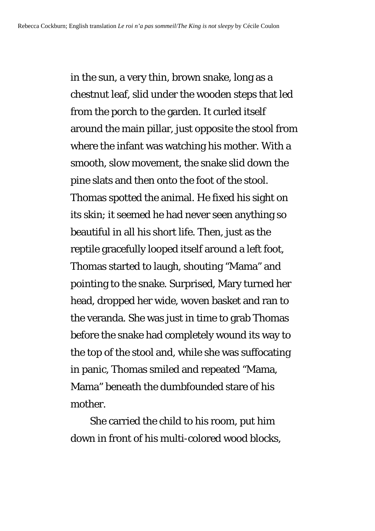in the sun, a very thin, brown snake, long as a chestnut leaf, slid under the wooden steps that led from the porch to the garden. It curled itself around the main pillar, just opposite the stool from where the infant was watching his mother. With a smooth, slow movement, the snake slid down the pine slats and then onto the foot of the stool. Thomas spotted the animal. He fixed his sight on its skin; it seemed he had never seen anything so beautiful in all his short life. Then, just as the reptile gracefully looped itself around a left foot, Thomas started to laugh, shouting "Mama" and pointing to the snake. Surprised, Mary turned her head, dropped her wide, woven basket and ran to the veranda. She was just in time to grab Thomas before the snake had completely wound its way to the top of the stool and, while she was suffocating in panic, Thomas smiled and repeated "Mama, Mama" beneath the dumbfounded stare of his mother.

 She carried the child to his room, put him down in front of his multi-colored wood blocks,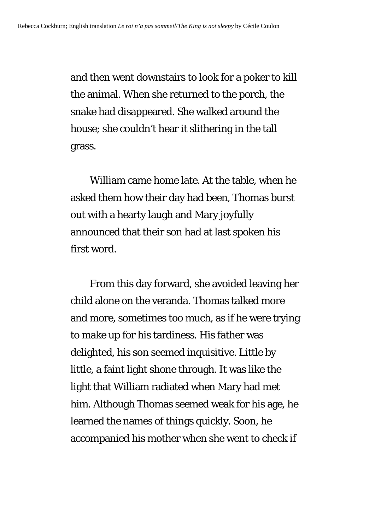and then went downstairs to look for a poker to kill the animal. When she returned to the porch, the snake had disappeared. She walked around the house; she couldn't hear it slithering in the tall grass.

 William came home late. At the table, when he asked them how their day had been, Thomas burst out with a hearty laugh and Mary joyfully announced that their son had at last spoken his first word.

 From this day forward, she avoided leaving her child alone on the veranda. Thomas talked more and more, sometimes too much, as if he were trying to make up for his tardiness. His father was delighted, his son seemed inquisitive. Little by little, a faint light shone through. It was like the light that William radiated when Mary had met him. Although Thomas seemed weak for his age, he learned the names of things quickly. Soon, he accompanied his mother when she went to check if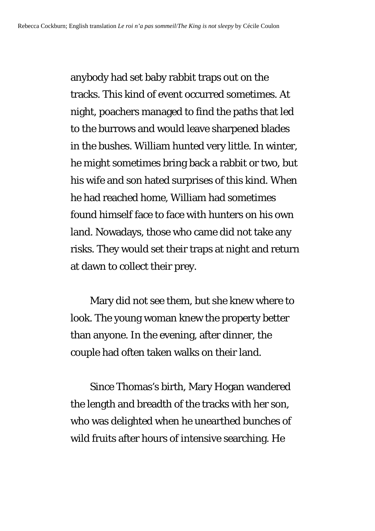anybody had set baby rabbit traps out on the tracks. This kind of event occurred sometimes. At night, poachers managed to find the paths that led to the burrows and would leave sharpened blades in the bushes. William hunted very little. In winter, he might sometimes bring back a rabbit or two, but his wife and son hated surprises of this kind. When he had reached home, William had sometimes found himself face to face with hunters on his own land. Nowadays, those who came did not take any risks. They would set their traps at night and return at dawn to collect their prey.

 Mary did not see them, but she knew where to look. The young woman knew the property better than anyone. In the evening, after dinner, the couple had often taken walks on their land.

 Since Thomas's birth, Mary Hogan wandered the length and breadth of the tracks with her son, who was delighted when he unearthed bunches of wild fruits after hours of intensive searching. He